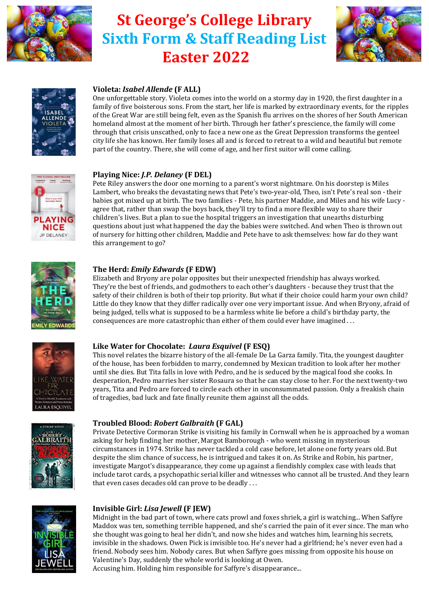

# **St George's College Library Sixth Form & Staff Reading List Easter 2022**





# **Violeta:** *Isabel Allende* **(F ALL)**

One unforgettable story. Violeta comes into the world on a stormy day in 1920, the first daughter in a family of five boisterous sons. From the start, her life is marked by extraordinary events, for the ripples of the Great War are still being felt, even as the Spanish flu arrives on the shores of her South American homeland almost at the moment of her birth. Through her father's prescience, the family will come through that crisis unscathed, only to face a new one as the Great Depression transforms the genteel city life she has known. Her family loses all and is forced to retreat to a wild and beautiful but remote part of the country. There, she will come of age, and her first suitor will come calling.



## **Playing Nice:** *J.P. Delaney* **(F DEL)**

Pete Riley answers the door one morning to a parent's worst nightmare. On his doorstep is Miles Lambert, who breaks the devastating news that Pete's two-year-old, Theo, isn't Pete's real son - their babies got mixed up at birth. The two families - Pete, his partner Maddie, and Miles and his wife Lucy agree that, rather than swap the boys back, they'll try to find a more flexible way to share their children's lives. But a plan to sue the hospital triggers an investigation that unearths disturbing questions about just what happened the day the babies were switched. And when Theo is thrown out of nursery for hitting other children, Maddie and Pete have to ask themselves: how far do they want this arrangement to go?



#### **The Herd:** *Emily Edwards* **(F EDW)**

Elizabeth and Bryony are polar opposites but their unexpected friendship has always worked. They're the best of friends, and godmothers to each other's daughters - because they trust that the safety of their children is both of their top priority. But what if their choice could harm your own child? Little do they know that they differ radically over one very important issue. And when Bryony, afraid of being judged, tells what is supposed to be a harmless white lie before a child's birthday party, the consequences are more catastrophic than either of them could ever have imagined . . .



## **Like Water for Chocolate:** *Laura Esquivel* **(F ESQ)**

This novel relates the bizarre history of the all-female De La Garza family. Tita, the youngest daughter of the house, has been forbidden to marry, condemned by Mexican tradition to look after her mother until she dies. But Tita falls in love with Pedro, and he is seduced by the magical food she cooks. In desperation, Pedro marries her sister Rosaura so that he can stay close to her. For the next twenty-two years, Tita and Pedro are forced to circle each other in unconsummated passion. Only a freakish chain of tragedies, bad luck and fate finally reunite them against all the odds.



## **Troubled Blood:** *Robert Galbraith* **(F GAL)**

Private Detective Cormoran Strike is visiting his family in Cornwall when he is approached by a woman asking for help finding her mother, Margot Bamborough - who went missing in mysterious circumstances in 1974. Strike has never tackled a cold case before, let alone one forty years old. But despite the slim chance of success, he is intrigued and takes it on. As Strike and Robin, his partner, investigate Margot's disappearance, they come up against a fiendishly complex case with leads that include tarot cards, a psychopathic serial killer and witnesses who cannot all be trusted. And they learn that even cases decades old can prove to be deadly . . .



## **Invisible Girl:** *Lisa Jewell* **(F JEW)**

Midnight in the bad part of town, where cats prowl and foxes shriek, a girl is watching... When Saffyre Maddox was ten, something terrible happened, and she's carried the pain of it ever since. The man who she thought was going to heal her didn't, and now she hides and watches him, learning his secrets, invisible in the shadows. Owen Pick is invisible too. He's never had a girlfriend; he's never even had a friend. Nobody sees him. Nobody cares. But when Saffyre goes missing from opposite his house on Valentine's Day, suddenly the whole world is looking at Owen.

Accusing him. Holding him responsible for Saffyre's disappearance...